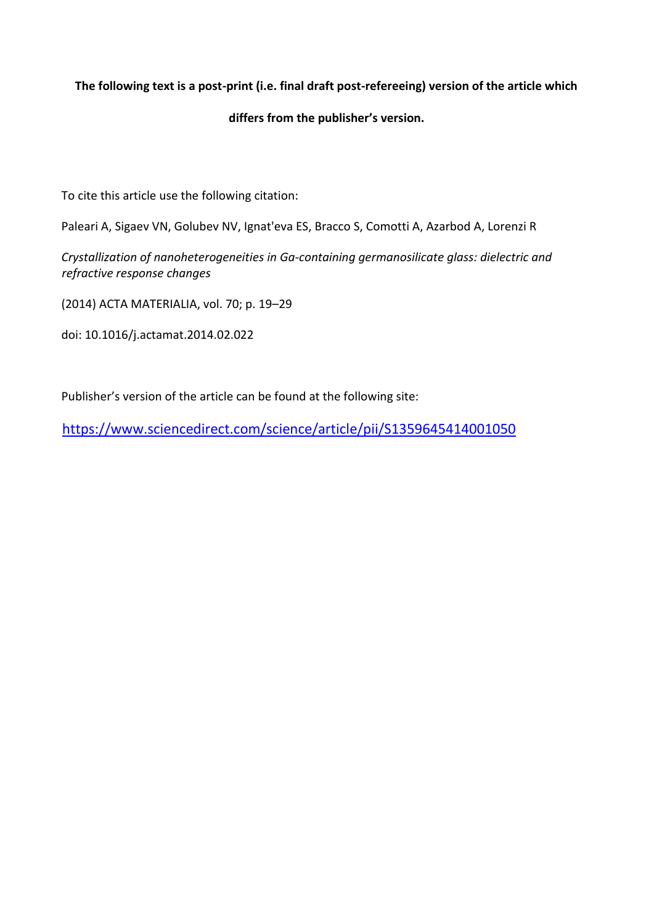# **The following text is a post-print (i.e. final draft post-refereeing) version of the article which**

## **differs from the publisher's version.**

To cite this article use the following citation:

Paleari A, Sigaev VN, Golubev NV, Ignat'eva ES, Bracco S, Comotti A, Azarbod A, Lorenzi R

*Crystallization of nanoheterogeneities in Ga-containing germanosilicate glass: dielectric and refractive response changes*

(2014) ACTA MATERIALIA, vol. 70; p. 19–29

doi: 10.1016/j.actamat.2014.02.022

Publisher's version of the article can be found at the following site:

<https://www.sciencedirect.com/science/article/pii/S1359645414001050>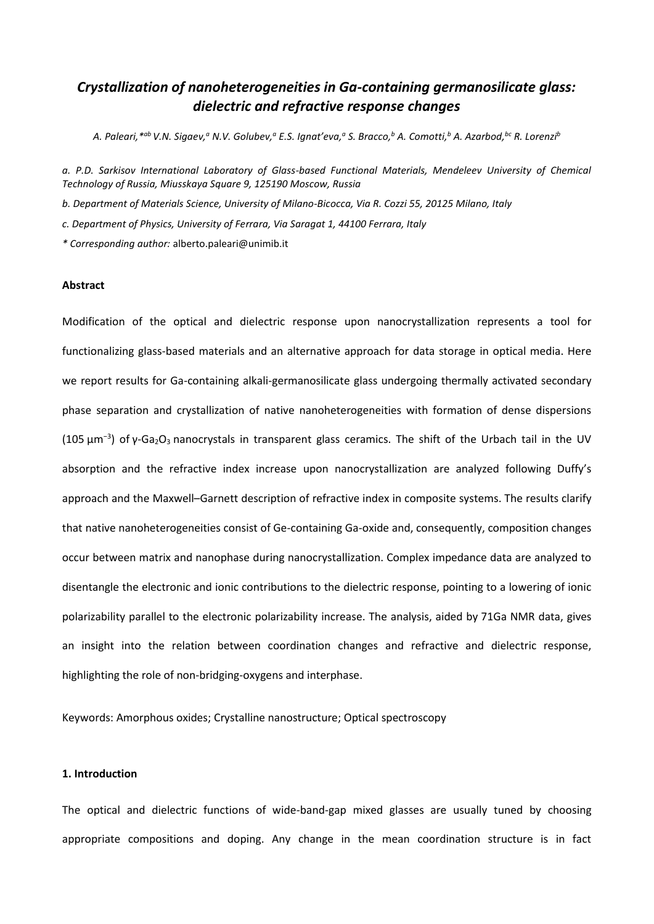# *Crystallization of nanoheterogeneities in Ga-containing germanosilicate glass: dielectric and refractive response changes*

A. Paleari, <sup>\*ab</sup> V.N. Sigaev,ª N.V. Golubev,ª E.S. Ignat'eva,ª S. Bracco,<sup>b</sup> A. Comotti,<sup>b</sup> A. Azarbod,<sup>bc</sup> R. Lorenzi<sup>b</sup>

*a. P.D. Sarkisov International Laboratory of Glass-based Functional Materials, Mendeleev University of Chemical Technology of Russia, Miusskaya Square 9, 125190 Moscow, Russia*

- *b. Department of Materials Science, University of Milano-Bicocca, Via R. Cozzi 55, 20125 Milano, Italy*
- *c. Department of Physics, University of Ferrara, Via Saragat 1, 44100 Ferrara, Italy*

*\* Corresponding author:* alberto.paleari@unimib.it

## **Abstract**

Modification of the optical and dielectric response upon nanocrystallization represents a tool for functionalizing glass-based materials and an alternative approach for data storage in optical media. Here we report results for Ga-containing alkali-germanosilicate glass undergoing thermally activated secondary phase separation and crystallization of native nanoheterogeneities with formation of dense dispersions (105  $\mu$ m<sup>-3</sup>) of y-Ga<sub>2</sub>O<sub>3</sub> nanocrystals in transparent glass ceramics. The shift of the Urbach tail in the UV absorption and the refractive index increase upon nanocrystallization are analyzed following Duffy's approach and the Maxwell–Garnett description of refractive index in composite systems. The results clarify that native nanoheterogeneities consist of Ge-containing Ga-oxide and, consequently, composition changes occur between matrix and nanophase during nanocrystallization. Complex impedance data are analyzed to disentangle the electronic and ionic contributions to the dielectric response, pointing to a lowering of ionic polarizability parallel to the electronic polarizability increase. The analysis, aided by 71Ga NMR data, gives an insight into the relation between coordination changes and refractive and dielectric response, highlighting the role of non-bridging-oxygens and interphase.

Keywords: Amorphous oxides; Crystalline nanostructure; Optical spectroscopy

#### **1. Introduction**

The optical and dielectric functions of wide-band-gap mixed glasses are usually tuned by choosing appropriate compositions and doping. Any change in the mean coordination structure is in fact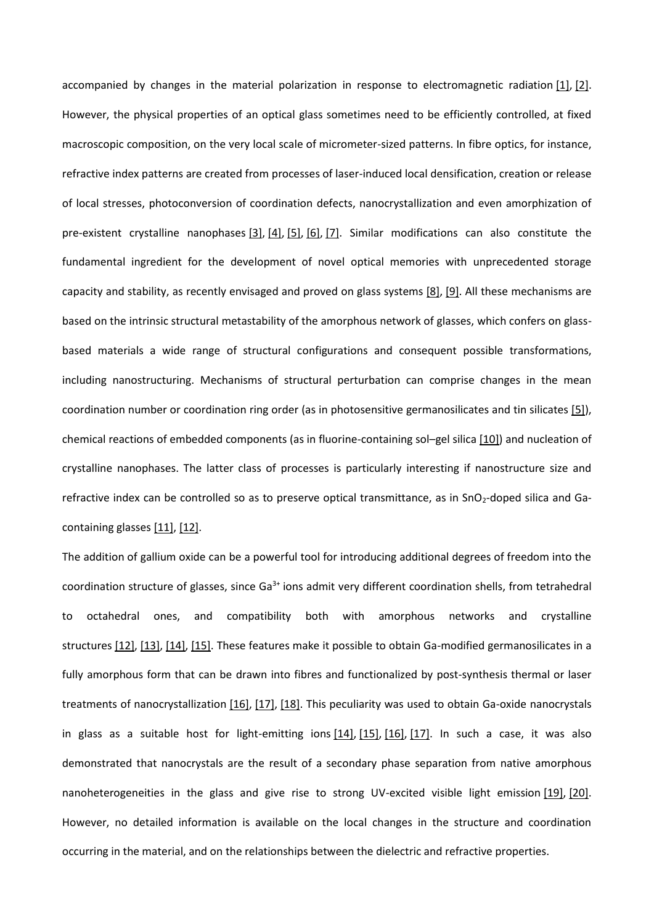accompanied by changes in the material polarization in response to electromagnetic radiation [1], [2]. However, the physical properties of an optical glass sometimes need to be efficiently controlled, at fixed macroscopic composition, on the very local scale of micrometer-sized patterns. In fibre optics, for instance, refractive index patterns are created from processes of laser-induced local densification, creation or release of local stresses, photoconversion of coordination defects, nanocrystallization and even amorphization of pre-existent crystalline nanophases [3], [4], [5], [6], [7]. Similar modifications can also constitute the fundamental ingredient for the development of novel optical memories with unprecedented storage capacity and stability, as recently envisaged and proved on glass systems [8], [9]. All these mechanisms are based on the intrinsic structural metastability of the amorphous network of glasses, which confers on glassbased materials a wide range of structural configurations and consequent possible transformations, including nanostructuring. Mechanisms of structural perturbation can comprise changes in the mean coordination number or coordination ring order (as in photosensitive germanosilicates and tin silicates [5]), chemical reactions of embedded components (as in fluorine-containing sol–gel silica [10]) and nucleation of crystalline nanophases. The latter class of processes is particularly interesting if nanostructure size and refractive index can be controlled so as to preserve optical transmittance, as in SnO<sub>2</sub>-doped silica and Gacontaining glasses [11], [12].

The addition of gallium oxide can be a powerful tool for introducing additional degrees of freedom into the coordination structure of glasses, since  $Ga^{3+}$  ions admit very different coordination shells, from tetrahedral to octahedral ones, and compatibility both with amorphous networks and crystalline structures [12], [13], [14], [15]. These features make it possible to obtain Ga-modified germanosilicates in a fully amorphous form that can be drawn into fibres and functionalized by post-synthesis thermal or laser treatments of nanocrystallization [16], [17], [18]. This peculiarity was used to obtain Ga-oxide nanocrystals in glass as a suitable host for light-emitting ions  $[14]$ ,  $[15]$ ,  $[16]$ ,  $[17]$ . In such a case, it was also demonstrated that nanocrystals are the result of a secondary phase separation from native amorphous nanoheterogeneities in the glass and give rise to strong UV-excited visible light emission [19], [20]. However, no detailed information is available on the local changes in the structure and coordination occurring in the material, and on the relationships between the dielectric and refractive properties.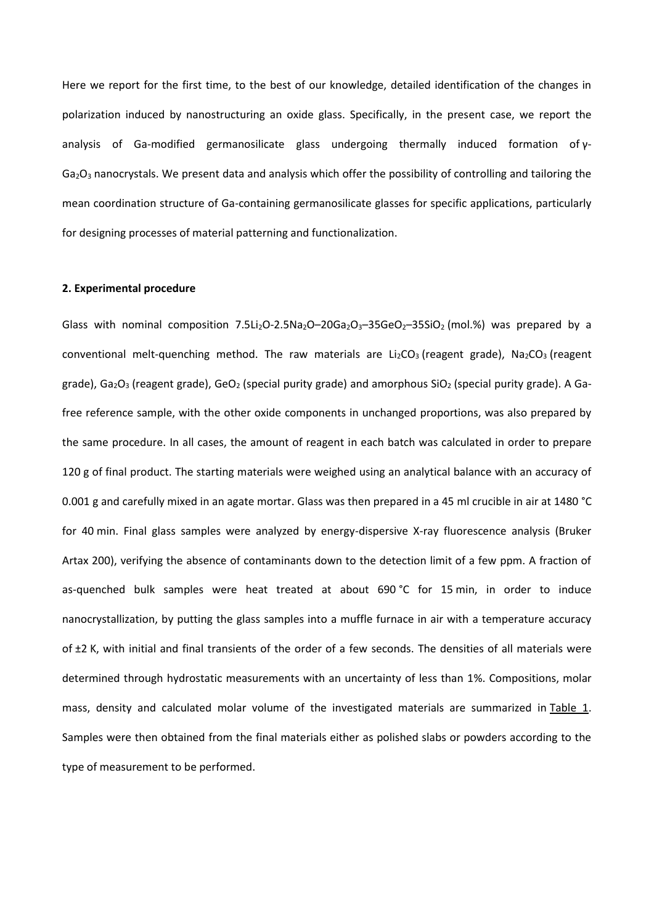Here we report for the first time, to the best of our knowledge, detailed identification of the changes in polarization induced by nanostructuring an oxide glass. Specifically, in the present case, we report the analysis of Ga-modified germanosilicate glass undergoing thermally induced formation of γ-Ga2O<sup>3</sup> nanocrystals. We present data and analysis which offer the possibility of controlling and tailoring the mean coordination structure of Ga-containing germanosilicate glasses for specific applications, particularly for designing processes of material patterning and functionalization.

#### **2. Experimental procedure**

Glass with nominal composition 7.5Li<sub>2</sub>O-2.5Na<sub>2</sub>O-20Ga<sub>2</sub>O<sub>3</sub>-35GeO<sub>2</sub>-35SiO<sub>2</sub> (mol.%) was prepared by a conventional melt-quenching method. The raw materials are  $Li_2CO_3$  (reagent grade), Na<sub>2</sub>CO<sub>3</sub> (reagent grade), Ga<sub>2</sub>O<sub>3</sub> (reagent grade), GeO<sub>2</sub> (special purity grade) and amorphous SiO<sub>2</sub> (special purity grade). A Gafree reference sample, with the other oxide components in unchanged proportions, was also prepared by the same procedure. In all cases, the amount of reagent in each batch was calculated in order to prepare 120 g of final product. The starting materials were weighed using an analytical balance with an accuracy of 0.001 g and carefully mixed in an agate mortar. Glass was then prepared in a 45 ml crucible in air at 1480 °C for 40 min. Final glass samples were analyzed by energy-dispersive X-ray fluorescence analysis (Bruker Artax 200), verifying the absence of contaminants down to the detection limit of a few ppm. A fraction of as-quenched bulk samples were heat treated at about 690 °C for 15 min, in order to induce nanocrystallization, by putting the glass samples into a muffle furnace in air with a temperature accuracy of ±2 K, with initial and final transients of the order of a few seconds. The densities of all materials were determined through hydrostatic measurements with an uncertainty of less than 1%. Compositions, molar mass, density and calculated molar volume of the investigated materials are summarized in Table 1. Samples were then obtained from the final materials either as polished slabs or powders according to the type of measurement to be performed.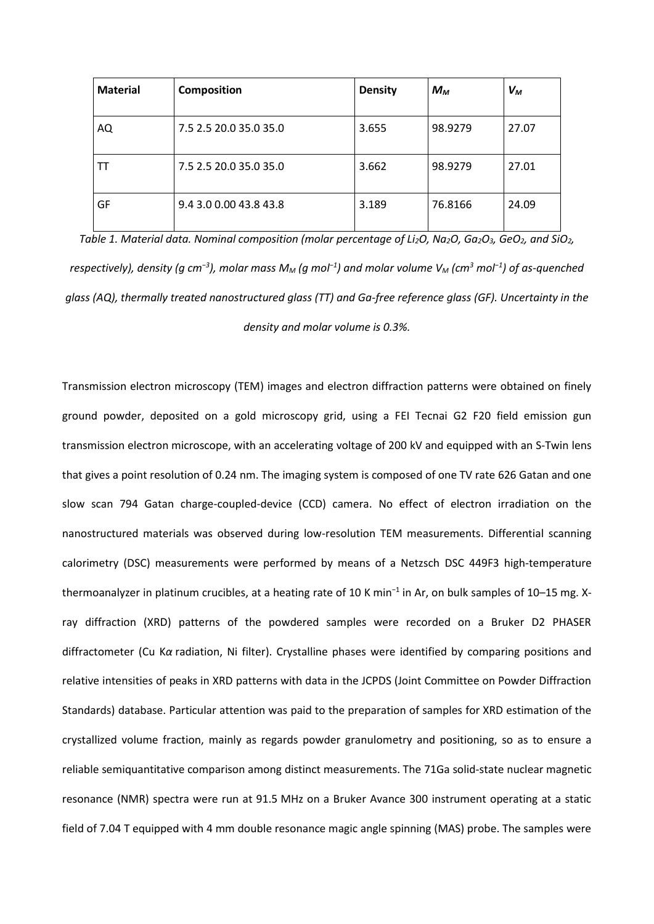| <b>Material</b> | <b>Composition</b>     | <b>Density</b> | $M_{\rm M}$ | $V_M$ |
|-----------------|------------------------|----------------|-------------|-------|
| AQ              | 7.5 2.5 20.0 35.0 35.0 | 3.655          | 98.9279     | 27.07 |
| TТ              | 7.5 2.5 20.0 35.0 35.0 | 3.662          | 98.9279     | 27.01 |
| GF              | 9.4 3.0 0.00 43.8 43.8 | 3.189          | 76.8166     | 24.09 |

*Table 1. Material data. Nominal composition (molar percentage of Li2O, Na2O, Ga2O3, GeO2, and SiO2, respectively), density (g cm−3), molar mass M<sup>M</sup> (g mol−1) and molar volume V<sup>M</sup> (cm<sup>3</sup> mol−1) of as-quenched glass (AQ), thermally treated nanostructured glass (TT) and Ga-free reference glass (GF). Uncertainty in the density and molar volume is 0.3%.*

Transmission electron microscopy (TEM) images and electron diffraction patterns were obtained on finely ground powder, deposited on a gold microscopy grid, using a FEI Tecnai G2 F20 field emission gun transmission electron microscope, with an accelerating voltage of 200 kV and equipped with an S-Twin lens that gives a point resolution of 0.24 nm. The imaging system is composed of one TV rate 626 Gatan and one slow scan 794 Gatan charge-coupled-device (CCD) camera. No effect of electron irradiation on the nanostructured materials was observed during low-resolution TEM measurements. Differential scanning calorimetry (DSC) measurements were performed by means of a Netzsch DSC 449F3 high-temperature thermoanalyzer in platinum crucibles, at a heating rate of 10 K min−1 in Ar, on bulk samples of 10–15 mg. Xray diffraction (XRD) patterns of the powdered samples were recorded on a Bruker D2 PHASER diffractometer (Cu K*α* radiation, Ni filter). Crystalline phases were identified by comparing positions and relative intensities of peaks in XRD patterns with data in the JCPDS (Joint Committee on Powder Diffraction Standards) database. Particular attention was paid to the preparation of samples for XRD estimation of the crystallized volume fraction, mainly as regards powder granulometry and positioning, so as to ensure a reliable semiquantitative comparison among distinct measurements. The 71Ga solid-state nuclear magnetic resonance (NMR) spectra were run at 91.5 MHz on a Bruker Avance 300 instrument operating at a static field of 7.04 T equipped with 4 mm double resonance magic angle spinning (MAS) probe. The samples were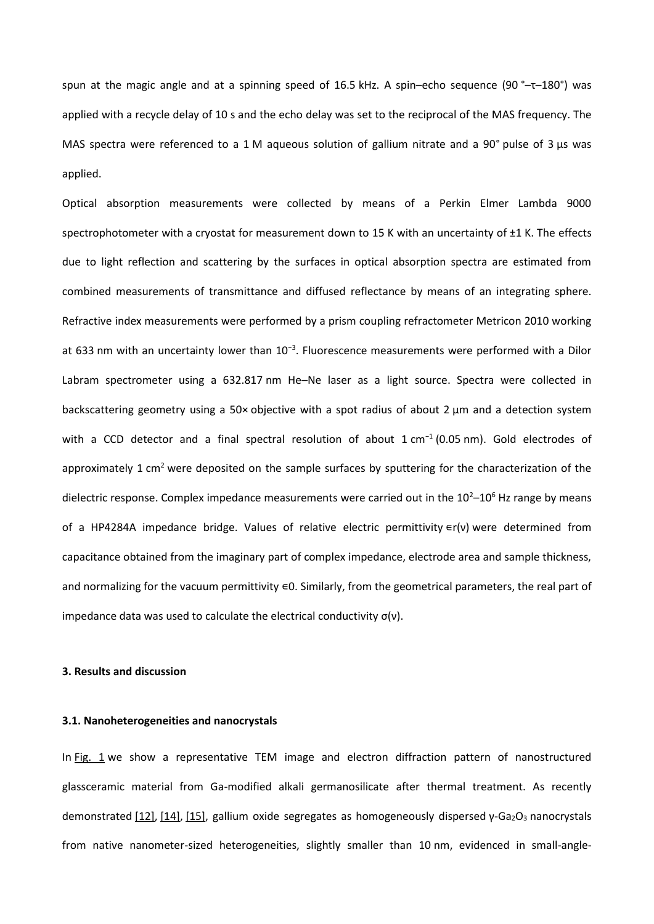spun at the magic angle and at a spinning speed of 16.5 kHz. A spin–echo sequence (90 °–τ–180°) was applied with a recycle delay of 10 s and the echo delay was set to the reciprocal of the MAS frequency. The MAS spectra were referenced to a 1 M aqueous solution of gallium nitrate and a 90° pulse of 3 μs was applied.

Optical absorption measurements were collected by means of a Perkin Elmer Lambda 9000 spectrophotometer with a cryostat for measurement down to 15 K with an uncertainty of ±1 K. The effects due to light reflection and scattering by the surfaces in optical absorption spectra are estimated from combined measurements of transmittance and diffused reflectance by means of an integrating sphere. Refractive index measurements were performed by a prism coupling refractometer Metricon 2010 working at 633 nm with an uncertainty lower than 10−3. Fluorescence measurements were performed with a Dilor Labram spectrometer using a 632.817 nm He–Ne laser as a light source. Spectra were collected in backscattering geometry using a 50× objective with a spot radius of about 2 μm and a detection system with a CCD detector and a final spectral resolution of about 1 cm<sup>-1</sup> (0.05 nm). Gold electrodes of approximately 1 cm<sup>2</sup> were deposited on the sample surfaces by sputtering for the characterization of the dielectric response. Complex impedance measurements were carried out in the  $10^{2}-10^{6}$  Hz range by means of a HP4284A impedance bridge. Values of relative electric permittivity  $∈r(v)$  were determined from capacitance obtained from the imaginary part of complex impedance, electrode area and sample thickness, and normalizing for the vacuum permittivity ∈0. Similarly, from the geometrical parameters, the real part of impedance data was used to calculate the electrical conductivity  $\sigma(v)$ .

#### **3. Results and discussion**

#### **3.1. Nanoheterogeneities and nanocrystals**

In Fig. 1 we show a representative TEM image and electron diffraction pattern of nanostructured glassceramic material from Ga-modified alkali germanosilicate after thermal treatment. As recently demonstrated [12], [14], [15], gallium oxide segregates as homogeneously dispersed γ-Ga<sub>2</sub>O<sub>3</sub> nanocrystals from native nanometer-sized heterogeneities, slightly smaller than 10 nm, evidenced in small-angle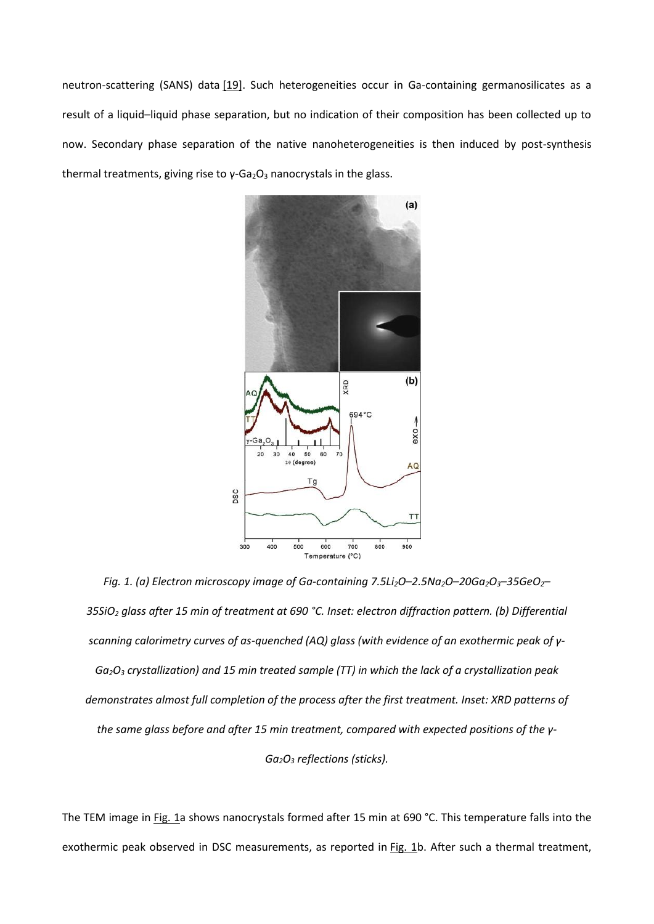neutron-scattering (SANS) data [19]. Such heterogeneities occur in Ga-containing germanosilicates as a result of a liquid–liquid phase separation, but no indication of their composition has been collected up to now. Secondary phase separation of the native nanoheterogeneities is then induced by post-synthesis thermal treatments, giving rise to  $γ$ -Ga<sub>2</sub>O<sub>3</sub> nanocrystals in the glass.



*Fig. 1. (a) Electron microscopy image of Ga-containing 7.5Li2O–2.5Na2O–20Ga2O3–35GeO2– 35SiO<sup>2</sup> glass after 15 min of treatment at 690 °C. Inset: electron diffraction pattern. (b) Differential scanning calorimetry curves of as-quenched (AQ) glass (with evidence of an exothermic peak of γ-Ga2O<sup>3</sup> crystallization) and 15 min treated sample (TT) in which the lack of a crystallization peak demonstrates almost full completion of the process after the first treatment. Inset: XRD patterns of the same glass before and after 15 min treatment, compared with expected positions of the γ-Ga2O<sup>3</sup> reflections (sticks).*

The TEM image in Fig. 1a shows nanocrystals formed after 15 min at 690 °C. This temperature falls into the exothermic peak observed in DSC measurements, as reported in Fig. 1b. After such a thermal treatment,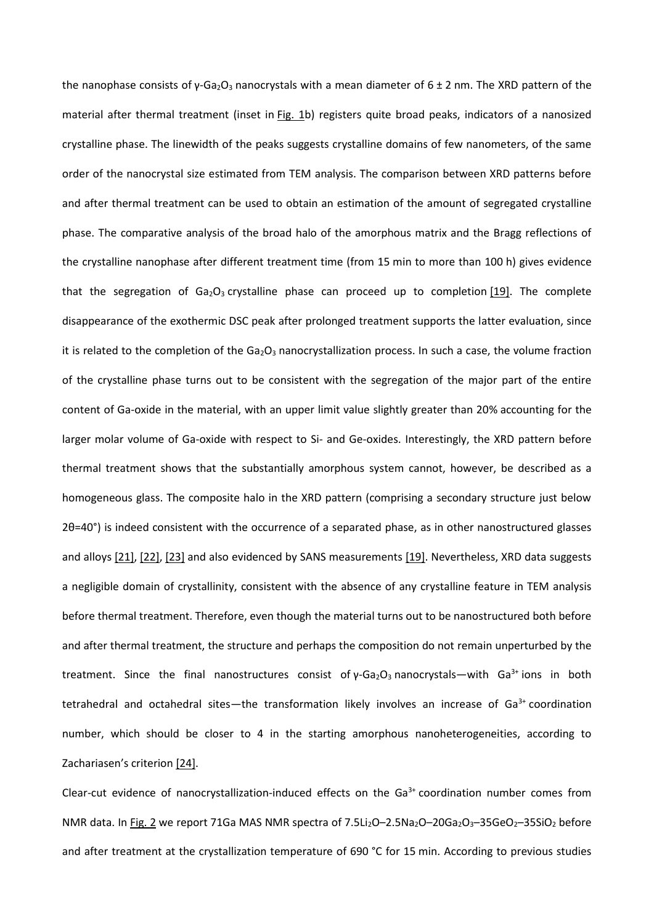the nanophase consists of  $\gamma$ -Ga<sub>2</sub>O<sub>3</sub> nanocrystals with a mean diameter of 6 ± 2 nm. The XRD pattern of the material after thermal treatment (inset in Fig. 1b) registers quite broad peaks, indicators of a nanosized crystalline phase. The linewidth of the peaks suggests crystalline domains of few nanometers, of the same order of the nanocrystal size estimated from TEM analysis. The comparison between XRD patterns before and after thermal treatment can be used to obtain an estimation of the amount of segregated crystalline phase. The comparative analysis of the broad halo of the amorphous matrix and the Bragg reflections of the crystalline nanophase after different treatment time (from 15 min to more than 100 h) gives evidence that the segregation of  $Ga_2O_3$  crystalline phase can proceed up to completion [19]. The complete disappearance of the exothermic DSC peak after prolonged treatment supports the latter evaluation, since it is related to the completion of the  $Ga<sub>2</sub>O<sub>3</sub>$  nanocrystallization process. In such a case, the volume fraction of the crystalline phase turns out to be consistent with the segregation of the major part of the entire content of Ga-oxide in the material, with an upper limit value slightly greater than 20% accounting for the larger molar volume of Ga-oxide with respect to Si- and Ge-oxides. Interestingly, the XRD pattern before thermal treatment shows that the substantially amorphous system cannot, however, be described as a homogeneous glass. The composite halo in the XRD pattern (comprising a secondary structure just below 2θ=40°) is indeed consistent with the occurrence of a separated phase, as in other nanostructured glasses and alloys [21], [22], [23] and also evidenced by SANS measurements [19]. Nevertheless, XRD data suggests a negligible domain of crystallinity, consistent with the absence of any crystalline feature in TEM analysis before thermal treatment. Therefore, even though the material turns out to be nanostructured both before and after thermal treatment, the structure and perhaps the composition do not remain unperturbed by the treatment. Since the final nanostructures consist of  $\gamma$ -Ga<sub>2</sub>O<sub>3</sub> nanocrystals—with Ga<sup>3+</sup> ions in both tetrahedral and octahedral sites—the transformation likely involves an increase of  $Ga<sup>3+</sup>$  coordination number, which should be closer to 4 in the starting amorphous nanoheterogeneities, according to Zachariasen's criterion [24].

Clear-cut evidence of nanocrystallization-induced effects on the  $Ga<sup>3+</sup>$  coordination number comes from NMR data. In Fig. 2 we report 71Ga MAS NMR spectra of 7.5Li<sub>2</sub>O-2.5Na<sub>2</sub>O-20Ga<sub>2</sub>O<sub>3</sub>-35GeO<sub>2</sub>-35SiO<sub>2</sub> before and after treatment at the crystallization temperature of 690 °C for 15 min. According to previous studies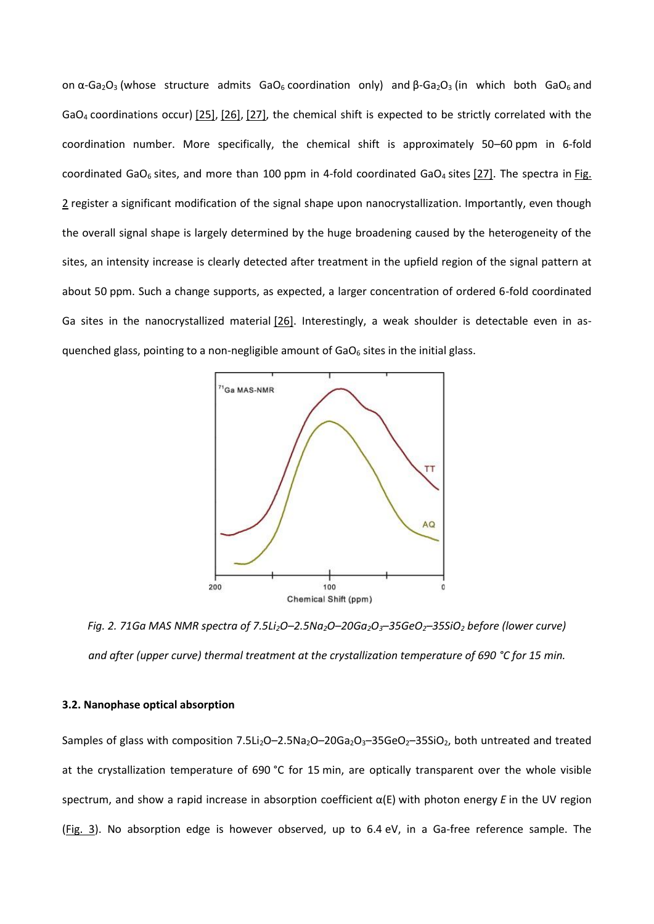on  $\alpha$ -Ga<sub>2</sub>O<sub>3</sub> (whose structure admits GaO<sub>6</sub> coordination only) and  $\beta$ -Ga<sub>2</sub>O<sub>3</sub> (in which both GaO<sub>6</sub> and GaO<sup>4</sup> coordinations occur) [25], [26], [27], the chemical shift is expected to be strictly correlated with the coordination number. More specifically, the chemical shift is approximately 50–60 ppm in 6-fold coordinated GaO<sub>6</sub> sites, and more than 100 ppm in 4-fold coordinated GaO<sub>4</sub> sites  $[27]$ . The spectra in Fig. 2 register a significant modification of the signal shape upon nanocrystallization. Importantly, even though the overall signal shape is largely determined by the huge broadening caused by the heterogeneity of the sites, an intensity increase is clearly detected after treatment in the upfield region of the signal pattern at about 50 ppm. Such a change supports, as expected, a larger concentration of ordered 6-fold coordinated Ga sites in the nanocrystallized material [26]. Interestingly, a weak shoulder is detectable even in asquenched glass, pointing to a non-negligible amount of  $GaO<sub>6</sub>$  sites in the initial glass.



Fig. 2. 71Ga MAS NMR spectra of 7.5Li<sub>2</sub>O-2.5Na<sub>2</sub>O-20Ga<sub>2</sub>O<sub>3</sub>-35GeO<sub>2</sub>-35SiO<sub>2</sub> before (lower curve) *and after (upper curve) thermal treatment at the crystallization temperature of 690 °C for 15 min.*

## **3.2. Nanophase optical absorption**

Samples of glass with composition 7.5Li<sub>2</sub>O–2.5Na<sub>2</sub>O–20Ga<sub>2</sub>O<sub>3</sub>–35GeO<sub>2</sub>–35SiO<sub>2</sub>, both untreated and treated at the crystallization temperature of 690 °C for 15 min, are optically transparent over the whole visible spectrum, and show a rapid increase in absorption coefficient α(E) with photon energy *E* in the UV region (Fig. 3). No absorption edge is however observed, up to 6.4 eV, in a Ga-free reference sample. The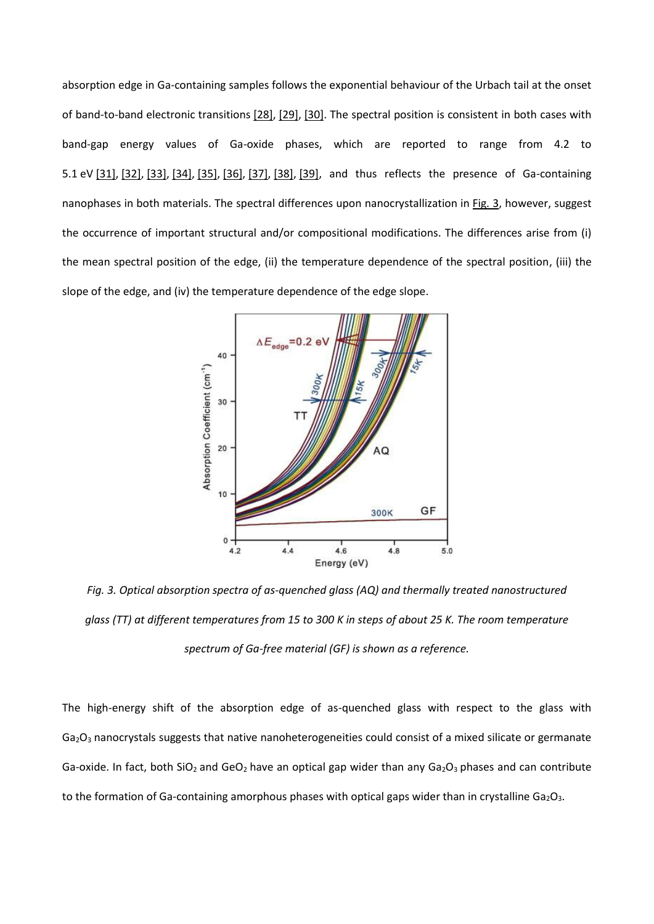absorption edge in Ga-containing samples follows the exponential behaviour of the Urbach tail at the onset of band-to-band electronic transitions [28], [29], [30]. The spectral position is consistent in both cases with band-gap energy values of Ga-oxide phases, which are reported to range from 4.2 to 5.1 eV [31], [32], [33], [34], [35], [36], [37], [38], [39], and thus reflects the presence of Ga-containing nanophases in both materials. The spectral differences upon nanocrystallization in Fig. 3, however, suggest the occurrence of important structural and/or compositional modifications. The differences arise from (i) the mean spectral position of the edge, (ii) the temperature dependence of the spectral position, (iii) the slope of the edge, and (iv) the temperature dependence of the edge slope.



*Fig. 3. Optical absorption spectra of as-quenched glass (AQ) and thermally treated nanostructured glass (TT) at different temperatures from 15 to 300 K in steps of about 25 K. The room temperature spectrum of Ga-free material (GF) is shown as a reference.*

The high-energy shift of the absorption edge of as-quenched glass with respect to the glass with Ga<sub>2</sub>O<sub>3</sub> nanocrystals suggests that native nanoheterogeneities could consist of a mixed silicate or germanate Ga-oxide. In fact, both SiO<sub>2</sub> and GeO<sub>2</sub> have an optical gap wider than any Ga<sub>2</sub>O<sub>3</sub> phases and can contribute to the formation of Ga-containing amorphous phases with optical gaps wider than in crystalline  $Ga_2O_3$ .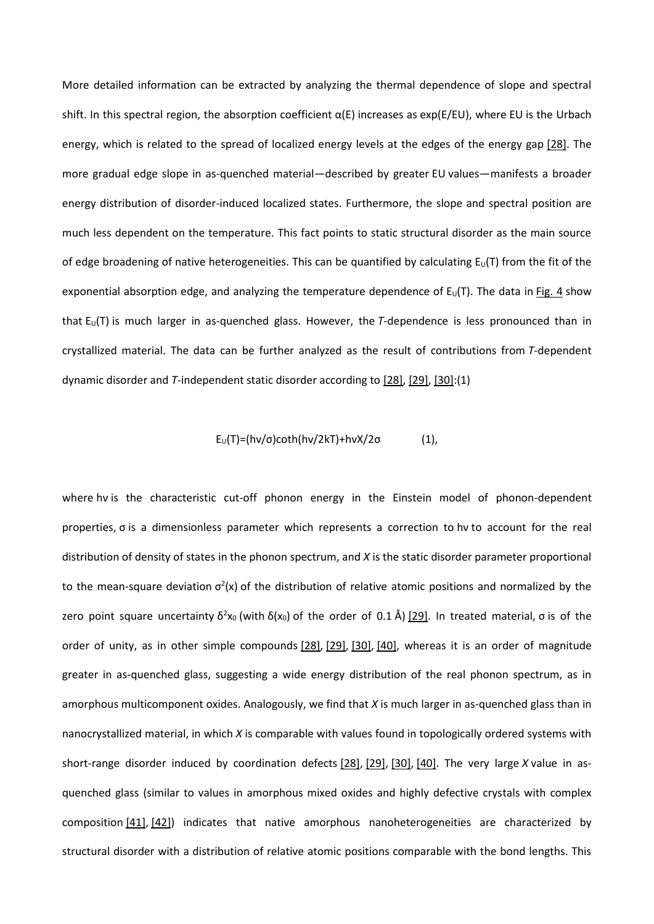More detailed information can be extracted by analyzing the thermal dependence of slope and spectral shift. In this spectral region, the absorption coefficient  $\alpha(E)$  increases as exp(E/EU), where EU is the Urbach energy, which is related to the spread of localized energy levels at the edges of the energy gap [28]. The more gradual edge slope in as-quenched material—described by greater EU values—manifests a broader energy distribution of disorder-induced localized states. Furthermore, the slope and spectral position are much less dependent on the temperature. This fact points to static structural disorder as the main source of edge broadening of native heterogeneities. This can be quantified by calculating  $E_U(T)$  from the fit of the exponential absorption edge, and analyzing the temperature dependence of  $E_U(T)$ . The data in Fig. 4 show that  $E_U(T)$  is much larger in as-quenched glass. However, the *T*-dependence is less pronounced than in crystallized material. The data can be further analyzed as the result of contributions from *T*-dependent dynamic disorder and *T*-independent static disorder according to [28], [29], [30]:(1)

## $E_U(T) = (hv/\sigma)coth(hv/2kT) + hvX/2σ$  (1),

where hv is the characteristic cut-off phonon energy in the Einstein model of phonon-dependent properties, σ is a dimensionless parameter which represents a correction to hν to account for the real distribution of density of states in the phonon spectrum, and *X* is the static disorder parameter proportional to the mean-square deviation  $\sigma^2(x)$  of the distribution of relative atomic positions and normalized by the zero point square uncertainty δ<sup>2</sup>x<sub>0</sub> (with δ(x<sub>0</sub>) of the order of 0.1 Å) [29]. In treated material, σ is of the order of unity, as in other simple compounds [28], [29], [30], [40], whereas it is an order of magnitude greater in as-quenched glass, suggesting a wide energy distribution of the real phonon spectrum, as in amorphous multicomponent oxides. Analogously, we find that *X* is much larger in as-quenched glass than in nanocrystallized material, in which *X* is comparable with values found in topologically ordered systems with short-range disorder induced by coordination defects [28], [29], [30], [40]. The very large *X* value in asquenched glass (similar to values in amorphous mixed oxides and highly defective crystals with complex composition [41], [42]) indicates that native amorphous nanoheterogeneities are characterized by structural disorder with a distribution of relative atomic positions comparable with the bond lengths. This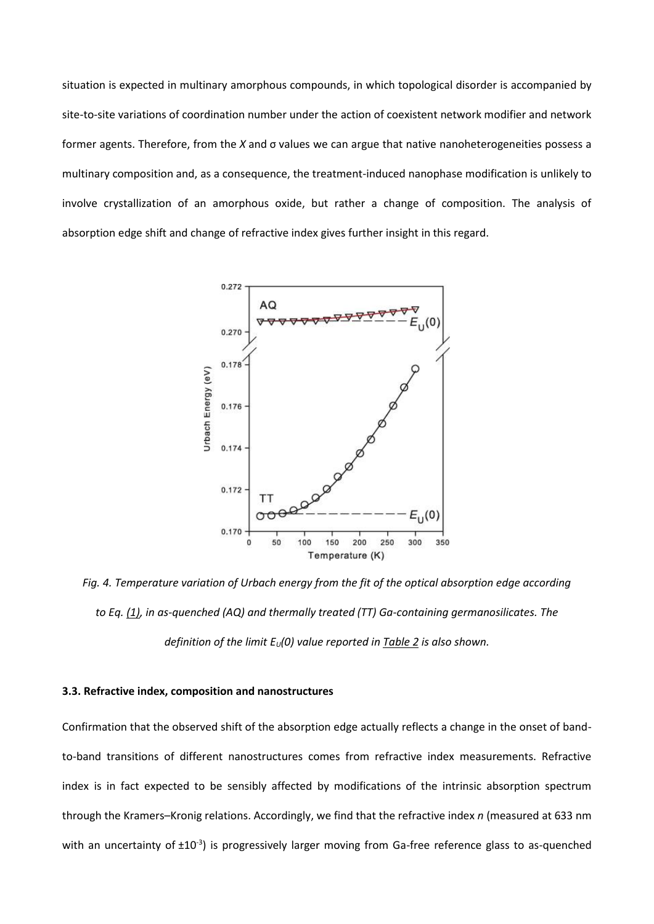situation is expected in multinary amorphous compounds, in which topological disorder is accompanied by site-to-site variations of coordination number under the action of coexistent network modifier and network former agents. Therefore, from the *X* and σ values we can argue that native nanoheterogeneities possess a multinary composition and, as a consequence, the treatment-induced nanophase modification is unlikely to involve crystallization of an amorphous oxide, but rather a change of composition. The analysis of absorption edge shift and change of refractive index gives further insight in this regard.



*Fig. 4. Temperature variation of Urbach energy from the fit of the optical absorption edge according to Eq. (1), in as-quenched (AQ) and thermally treated (TT) Ga-containing germanosilicates. The definition of the limit EU(0) value reported in Table 2 is also shown.*

#### **3.3. Refractive index, composition and nanostructures**

Confirmation that the observed shift of the absorption edge actually reflects a change in the onset of bandto-band transitions of different nanostructures comes from refractive index measurements. Refractive index is in fact expected to be sensibly affected by modifications of the intrinsic absorption spectrum through the Kramers–Kronig relations. Accordingly, we find that the refractive index *n* (measured at 633 nm with an uncertainty of  $\pm 10^{-3}$ ) is progressively larger moving from Ga-free reference glass to as-quenched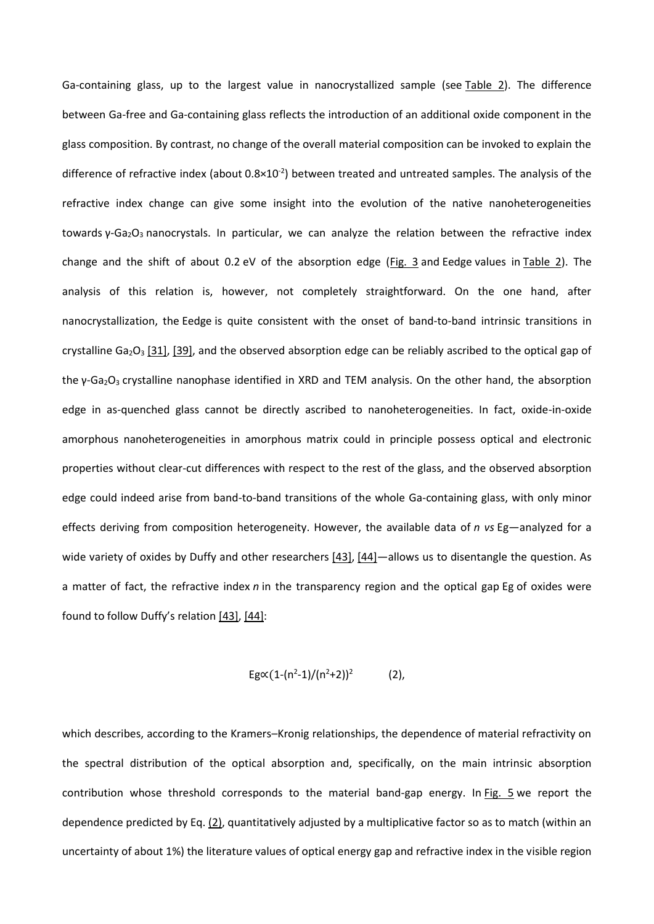Ga-containing glass, up to the largest value in nanocrystallized sample (see Table 2). The difference between Ga-free and Ga-containing glass reflects the introduction of an additional oxide component in the glass composition. By contrast, no change of the overall material composition can be invoked to explain the difference of refractive index (about  $0.8 \times 10^{-2}$ ) between treated and untreated samples. The analysis of the refractive index change can give some insight into the evolution of the native nanoheterogeneities towards γ-Ga<sub>2</sub>O<sub>3</sub> nanocrystals. In particular, we can analyze the relation between the refractive index change and the shift of about 0.2 eV of the absorption edge (Fig. 3 and Eedge values in Table 2). The analysis of this relation is, however, not completely straightforward. On the one hand, after nanocrystallization, the Eedge is quite consistent with the onset of band-to-band intrinsic transitions in crystalline Ga<sub>2</sub>O<sub>3</sub> [31], [39], and the observed absorption edge can be reliably ascribed to the optical gap of the γ-Ga<sub>2</sub>O<sub>3</sub> crystalline nanophase identified in XRD and TEM analysis. On the other hand, the absorption edge in as-quenched glass cannot be directly ascribed to nanoheterogeneities. In fact, oxide-in-oxide amorphous nanoheterogeneities in amorphous matrix could in principle possess optical and electronic properties without clear-cut differences with respect to the rest of the glass, and the observed absorption edge could indeed arise from band-to-band transitions of the whole Ga-containing glass, with only minor effects deriving from composition heterogeneity. However, the available data of *n vs* Eg—analyzed for a wide variety of oxides by Duffy and other researchers  $[43]$ ,  $[44]$  allows us to disentangle the question. As a matter of fact, the refractive index *n* in the transparency region and the optical gap Eg of oxides were found to follow Duffy's relation [43], [44]:

$$
Eg\alpha(1-(n^2-1)/(n^2+2))^2
$$
 (2),

which describes, according to the Kramers–Kronig relationships, the dependence of material refractivity on the spectral distribution of the optical absorption and, specifically, on the main intrinsic absorption contribution whose threshold corresponds to the material band-gap energy. In Fig. 5 we report the dependence predicted by Eq. (2), quantitatively adjusted by a multiplicative factor so as to match (within an uncertainty of about 1%) the literature values of optical energy gap and refractive index in the visible region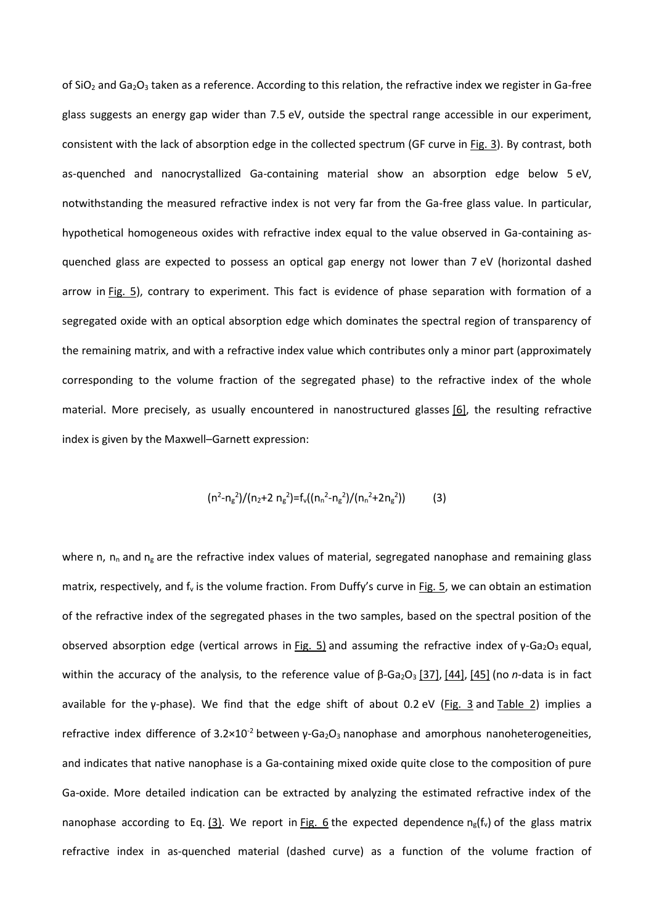of SiO<sub>2</sub> and Ga<sub>2</sub>O<sub>3</sub> taken as a reference. According to this relation, the refractive index we register in Ga-free glass suggests an energy gap wider than 7.5 eV, outside the spectral range accessible in our experiment, consistent with the lack of absorption edge in the collected spectrum (GF curve in Fig. 3). By contrast, both as-quenched and nanocrystallized Ga-containing material show an absorption edge below 5 eV, notwithstanding the measured refractive index is not very far from the Ga-free glass value. In particular, hypothetical homogeneous oxides with refractive index equal to the value observed in Ga-containing asquenched glass are expected to possess an optical gap energy not lower than 7 eV (horizontal dashed arrow in Fig. 5), contrary to experiment. This fact is evidence of phase separation with formation of a segregated oxide with an optical absorption edge which dominates the spectral region of transparency of the remaining matrix, and with a refractive index value which contributes only a minor part (approximately corresponding to the volume fraction of the segregated phase) to the refractive index of the whole material. More precisely, as usually encountered in nanostructured glasses [6], the resulting refractive index is given by the Maxwell–Garnett expression:

$$
(n2-ng2)/(n2+2 ng2)=fv((nn2-ng2)/(nn2+2ng2))
$$
 (3)

where n,  $n_n$  and  $n_g$  are the refractive index values of material, segregated nanophase and remaining glass matrix, respectively, and  $f_v$  is the volume fraction. From Duffy's curve in Fig. 5, we can obtain an estimation of the refractive index of the segregated phases in the two samples, based on the spectral position of the observed absorption edge (vertical arrows in Fig. 5) and assuming the refractive index of  $\gamma$ -Ga<sub>2</sub>O<sub>3</sub> equal, within the accuracy of the analysis, to the reference value of β-Ga<sub>2</sub>O<sub>3</sub> [37], [44], [45] (no *n*-data is in fact available for the γ-phase). We find that the edge shift of about 0.2 eV (Fig. 3 and Table 2) implies a refractive index difference of  $3.2 \times 10^{-2}$  between γ-Ga<sub>2</sub>O<sub>3</sub> nanophase and amorphous nanoheterogeneities, and indicates that native nanophase is a Ga-containing mixed oxide quite close to the composition of pure Ga-oxide. More detailed indication can be extracted by analyzing the estimated refractive index of the nanophase according to Eq. (3). We report in Fig. 6 the expected dependence  $n_g(f_v)$  of the glass matrix refractive index in as-quenched material (dashed curve) as a function of the volume fraction of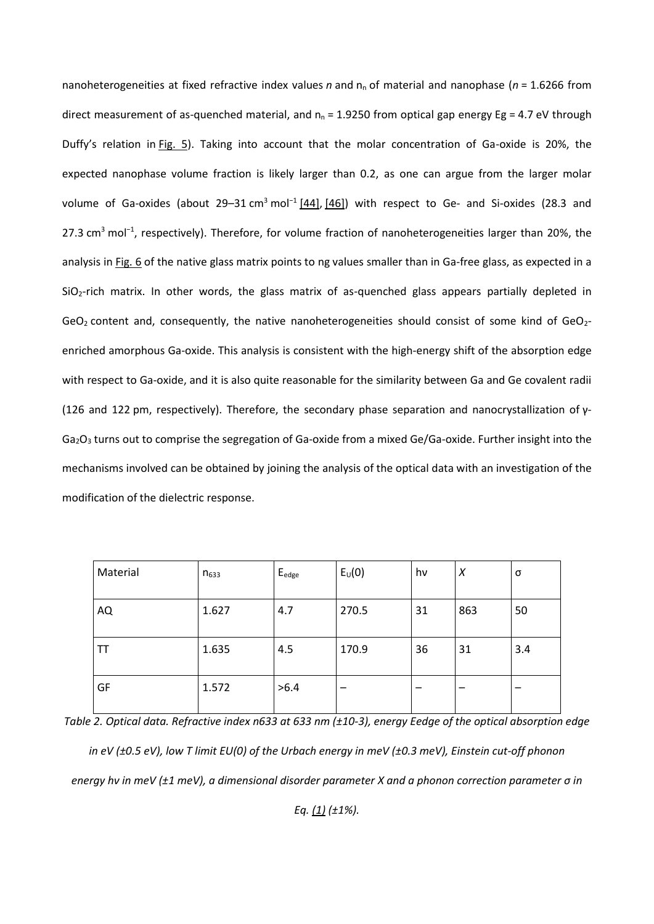nanoheterogeneities at fixed refractive index values *n* and n<sub>n</sub> of material and nanophase (*n* = 1.6266 from direct measurement of as-quenched material, and  $n_n = 1.9250$  from optical gap energy Eg = 4.7 eV through Duffy's relation in Fig. 5). Taking into account that the molar concentration of Ga-oxide is 20%, the expected nanophase volume fraction is likely larger than 0.2, as one can argue from the larger molar volume of Ga-oxides (about 29–31 cm<sup>3</sup> mol<sup>-1</sup> [44], [46]) with respect to Ge- and Si-oxides (28.3 and 27.3 cm<sup>3</sup> mol<sup>-1</sup>, respectively). Therefore, for volume fraction of nanoheterogeneities larger than 20%, the analysis in Fig. 6 of the native glass matrix points to ng values smaller than in Ga-free glass, as expected in a  $SiO<sub>2</sub>$ -rich matrix. In other words, the glass matrix of as-quenched glass appears partially depleted in  $GeO<sub>2</sub>$  content and, consequently, the native nanoheterogeneities should consist of some kind of  $GeO<sub>2</sub>$ enriched amorphous Ga-oxide. This analysis is consistent with the high-energy shift of the absorption edge with respect to Ga-oxide, and it is also quite reasonable for the similarity between Ga and Ge covalent radii (126 and 122 pm, respectively). Therefore, the secondary phase separation and nanocrystallization of γ- $Ga<sub>2</sub>O<sub>3</sub>$  turns out to comprise the segregation of Ga-oxide from a mixed Ge/Ga-oxide. Further insight into the mechanisms involved can be obtained by joining the analysis of the optical data with an investigation of the modification of the dielectric response.

| Material | $n_{633}$ | $E_{\text{edge}}$ | $E_U(0)$ | hv | X   | σ   |
|----------|-----------|-------------------|----------|----|-----|-----|
| AQ       | 1.627     | 4.7               | 270.5    | 31 | 863 | 50  |
| ТT       | 1.635     | 4.5               | 170.9    | 36 | 31  | 3.4 |
| GF       | 1.572     | >6.4              |          |    | -   |     |

*Table 2. Optical data. Refractive index n633 at 633 nm (±10-3), energy Eedge of the optical absorption edge in eV (±0.5 eV), low T limit EU(0) of the Urbach energy in meV (±0.3 meV), Einstein cut-off phonon energy hν in meV (±1 meV), a dimensional disorder parameter X and a phonon correction parameter σ in* 

*Eq. (1) (±1%).*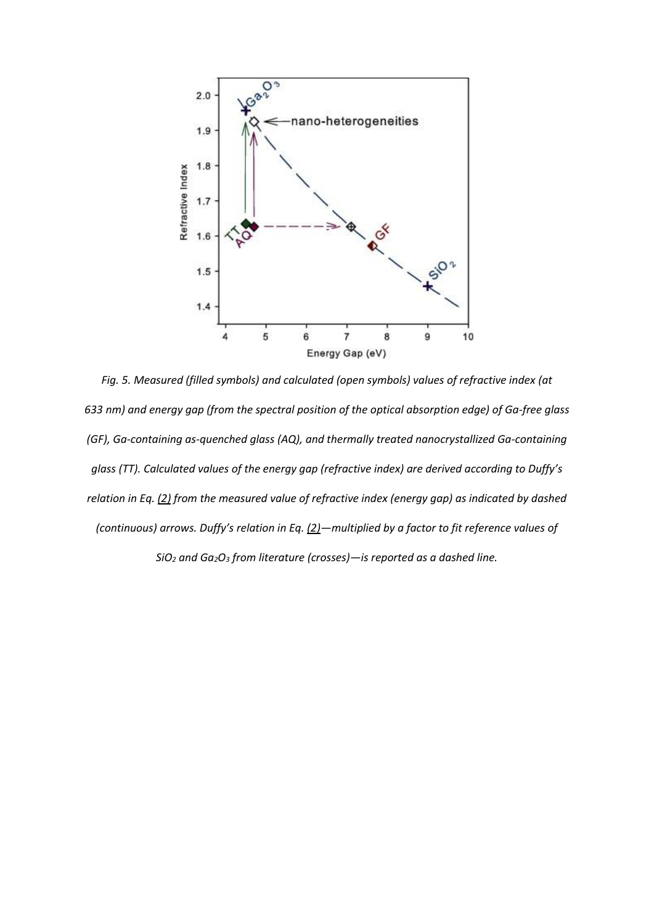

*Fig. 5. Measured (filled symbols) and calculated (open symbols) values of refractive index (at 633 nm) and energy gap (from the spectral position of the optical absorption edge) of Ga-free glass (GF), Ga-containing as-quenched glass (AQ), and thermally treated nanocrystallized Ga-containing glass (TT). Calculated values of the energy gap (refractive index) are derived according to Duffy's relation in Eq. (2) from the measured value of refractive index (energy gap) as indicated by dashed (continuous) arrows. Duffy's relation in Eq. (2)—multiplied by a factor to fit reference values of SiO<sup>2</sup> and Ga2O<sup>3</sup> from literature (crosses)—is reported as a dashed line.*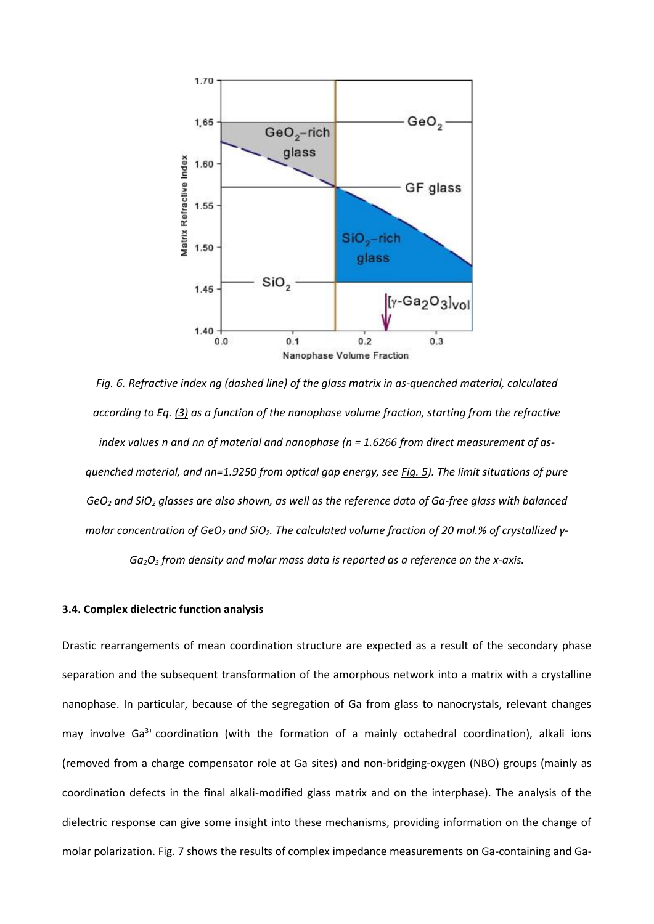

*Fig. 6. Refractive index ng (dashed line) of the glass matrix in as-quenched material, calculated according to Eq. (3) as a function of the nanophase volume fraction, starting from the refractive index values n and nn of material and nanophase (n = 1.6266 from direct measurement of asquenched material, and nn=1.9250 from optical gap energy, see Fig. 5). The limit situations of pure GeO<sup>2</sup> and SiO<sup>2</sup> glasses are also shown, as well as the reference data of Ga-free glass with balanced molar concentration of GeO<sup>2</sup> and SiO2. The calculated volume fraction of 20 mol.% of crystallized γ-Ga2O<sup>3</sup> from density and molar mass data is reported as a reference on the x-axis.*

#### **3.4. Complex dielectric function analysis**

Drastic rearrangements of mean coordination structure are expected as a result of the secondary phase separation and the subsequent transformation of the amorphous network into a matrix with a crystalline nanophase. In particular, because of the segregation of Ga from glass to nanocrystals, relevant changes may involve Ga<sup>3+</sup> coordination (with the formation of a mainly octahedral coordination), alkali ions (removed from a charge compensator role at Ga sites) and non-bridging-oxygen (NBO) groups (mainly as coordination defects in the final alkali-modified glass matrix and on the interphase). The analysis of the dielectric response can give some insight into these mechanisms, providing information on the change of molar polarization. Fig. 7 shows the results of complex impedance measurements on Ga-containing and Ga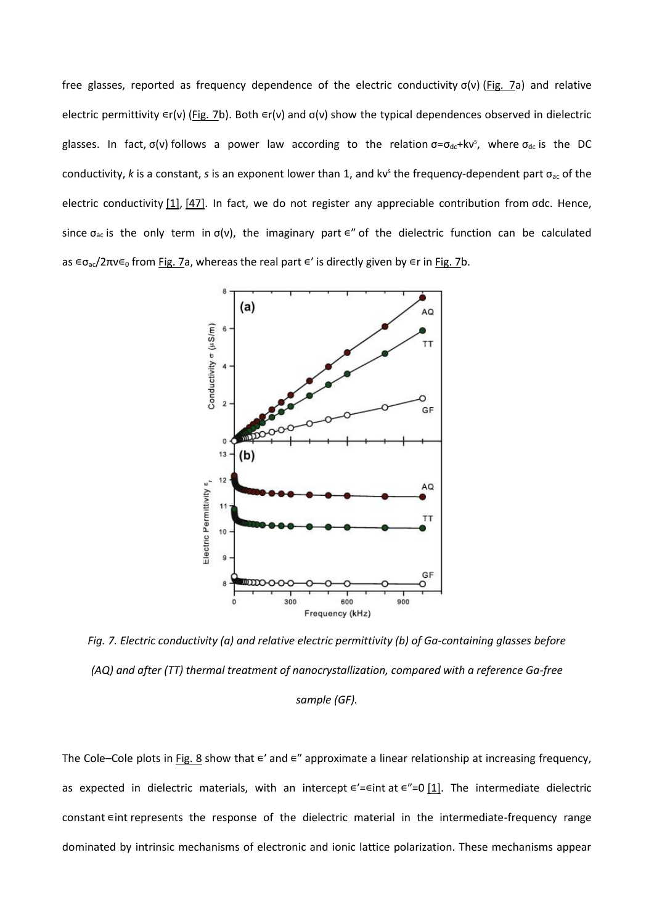free glasses, reported as frequency dependence of the electric conductivity σ(ν) (Fig. 7a) and relative electric permittivity  $\epsilon r(v)$  (Fig. 7b). Both  $\epsilon r(v)$  and σ(ν) show the typical dependences observed in dielectric glasses. In fact,  $\sigma(v)$  follows a power law according to the relation  $\sigma = \sigma_{dc} + kv^s$ , where  $\sigma_{dc}$  is the DC conductivity, k is a constant, s is an exponent lower than 1, and kv<sup>s</sup> the frequency-dependent part σ<sub>ac</sub> of the electric conductivity [1], [47]. In fact, we do not register any appreciable contribution from σdc. Hence, since  $\sigma_{ac}$  is the only term in  $\sigma(v)$ , the imaginary part  $\epsilon''$  of the dielectric function can be calculated as  $\epsilon \sigma_{ac}/2\pi v \epsilon_0$  from Fig. 7a, whereas the real part  $\epsilon'$  is directly given by  $\epsilon r$  in Fig. 7b.



*Fig. 7. Electric conductivity (a) and relative electric permittivity (b) of Ga-containing glasses before (AQ) and after (TT) thermal treatment of nanocrystallization, compared with a reference Ga-free sample (GF).*

The Cole–Cole plots in Fig. 8 show that  $\epsilon'$  and  $\epsilon''$  approximate a linear relationship at increasing frequency, as expected in dielectric materials, with an intercept ∈'=∈int at ∈"=0 [1]. The intermediate dielectric constant ∈int represents the response of the dielectric material in the intermediate-frequency range dominated by intrinsic mechanisms of electronic and ionic lattice polarization. These mechanisms appear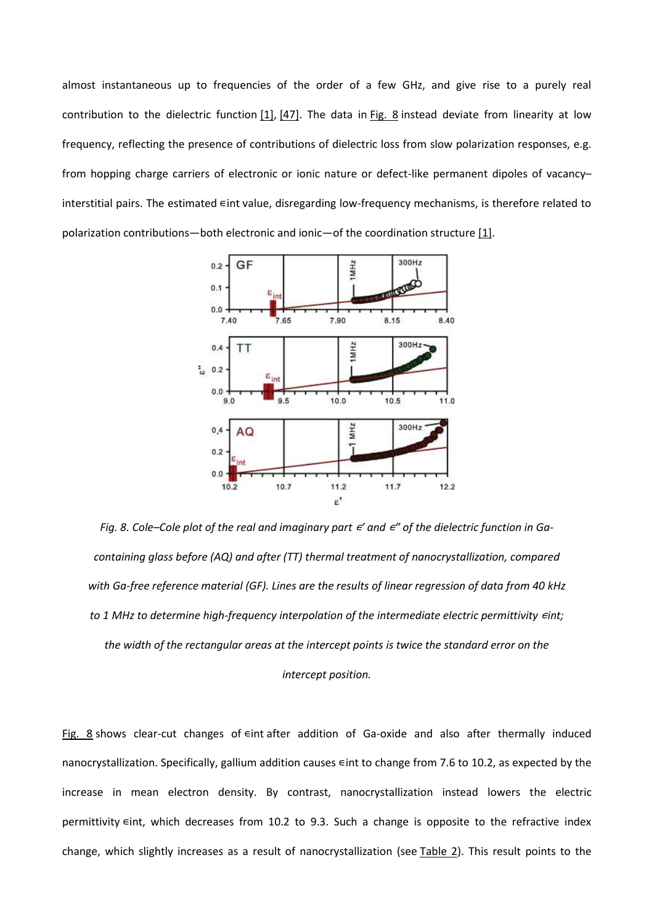almost instantaneous up to frequencies of the order of a few GHz, and give rise to a purely real contribution to the dielectric function [1], [47]. The data in Fig. 8 instead deviate from linearity at low frequency, reflecting the presence of contributions of dielectric loss from slow polarization responses, e.g. from hopping charge carriers of electronic or ionic nature or defect-like permanent dipoles of vacancy– interstitial pairs. The estimated ∈int value, disregarding low-frequency mechanisms, is therefore related to polarization contributions—both electronic and ionic—of the coordination structure  $[1]$ .



*Fig. 8. Cole–Cole plot of the real and imaginary part*  $\epsilon'$  and  $\epsilon''$  of the dielectric function in Ga*containing glass before (AQ) and after (TT) thermal treatment of nanocrystallization, compared with Ga-free reference material (GF). Lines are the results of linear regression of data from 40 kHz to 1 MHz to determine high-frequency interpolation of the intermediate electric permittivity ∈int; the width of the rectangular areas at the intercept points is twice the standard error on the intercept position.*

Fig. 8 shows clear-cut changes of eint after addition of Ga-oxide and also after thermally induced nanocrystallization. Specifically, gallium addition causes ∈int to change from 7.6 to 10.2, as expected by the increase in mean electron density. By contrast, nanocrystallization instead lowers the electric permittivity ∈int, which decreases from 10.2 to 9.3. Such a change is opposite to the refractive index change, which slightly increases as a result of nanocrystallization (see Table 2). This result points to the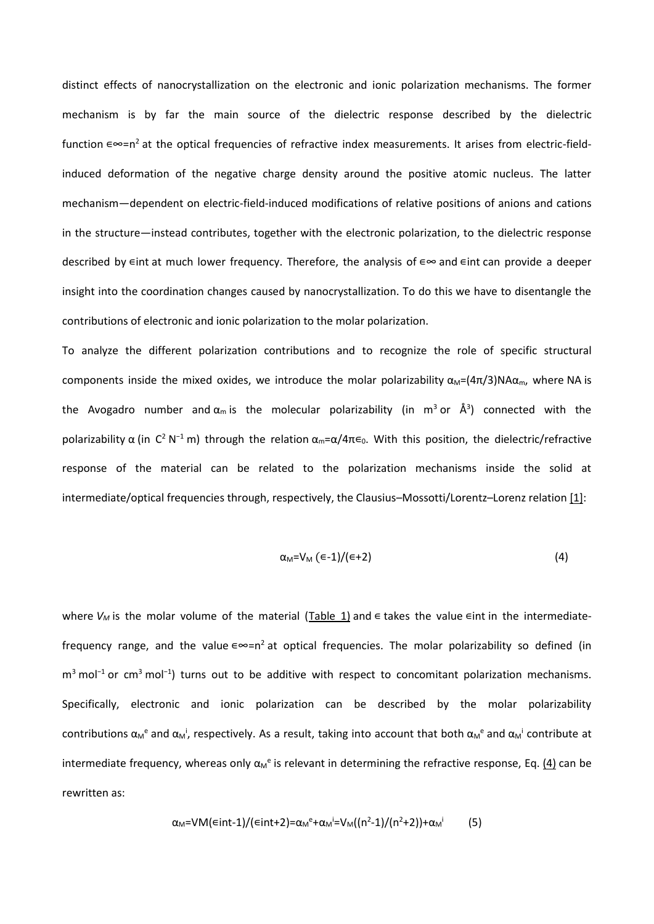distinct effects of nanocrystallization on the electronic and ionic polarization mechanisms. The former mechanism is by far the main source of the dielectric response described by the dielectric function ∊∞=n<sup>2</sup> at the optical frequencies of refractive index measurements. It arises from electric-fieldinduced deformation of the negative charge density around the positive atomic nucleus. The latter mechanism—dependent on electric-field-induced modifications of relative positions of anions and cations in the structure—instead contributes, together with the electronic polarization, to the dielectric response described by  $\epsilon$ int at much lower frequency. Therefore, the analysis of  $\epsilon \infty$  and  $\epsilon$ int can provide a deeper insight into the coordination changes caused by nanocrystallization. To do this we have to disentangle the contributions of electronic and ionic polarization to the molar polarization.

To analyze the different polarization contributions and to recognize the role of specific structural components inside the mixed oxides, we introduce the molar polarizability  $\alpha_M=(4\pi/3)NA\alpha_m$ , where NA is the Avogadro number and  $\alpha_m$  is the molecular polarizability (in m<sup>3</sup> or  $\AA$ <sup>3</sup>) connected with the polarizability  $\alpha$  (in C<sup>2</sup> N<sup>-1</sup> m) through the relation  $\alpha_m = \alpha/4\pi\epsilon_0$ . With this position, the dielectric/refractive response of the material can be related to the polarization mechanisms inside the solid at intermediate/optical frequencies through, respectively, the Clausius–Mossotti/Lorentz–Lorenz relation [1]:

$$
\alpha_{\mathsf{M}} = \mathsf{V}_{\mathsf{M}} \left( \epsilon - 1 \right) / (\epsilon + 2) \tag{4}
$$

where *V<sub>M</sub>* is the molar volume of the material (Table 1) and  $\in$  takes the value  $\in$ int in the intermediatefrequency range, and the value  $\epsilon \infty = n^2$  at optical frequencies. The molar polarizability so defined (in  $m<sup>3</sup>$  mol<sup>-1</sup> or cm<sup>3</sup> mol<sup>-1</sup>) turns out to be additive with respect to concomitant polarization mechanisms. Specifically, electronic and ionic polarization can be described by the molar polarizability contributions  $\alpha_M$ <sup>e</sup> and  $\alpha_M$ <sup>i</sup>, respectively. As a result, taking into account that both  $\alpha_M$ <sup>e</sup> and  $\alpha_M$ <sup>i</sup> contribute at intermediate frequency, whereas only  $\alpha_M^e$  is relevant in determining the refractive response, Eq.  $(4)$  can be rewritten as:

$$
\alpha_{\mathsf{M}} = \mathsf{VM}(\epsilon \mathsf{int} \cdot 1)/(\epsilon \mathsf{int} \cdot 2) = \alpha_{\mathsf{M}}^{\mathsf{e}} + \alpha_{\mathsf{M}}^{\mathsf{i}} = \mathsf{V}_{\mathsf{M}}((n^2-1)/(n^2+2)) + \alpha_{\mathsf{M}}^{\mathsf{i}} \tag{5}
$$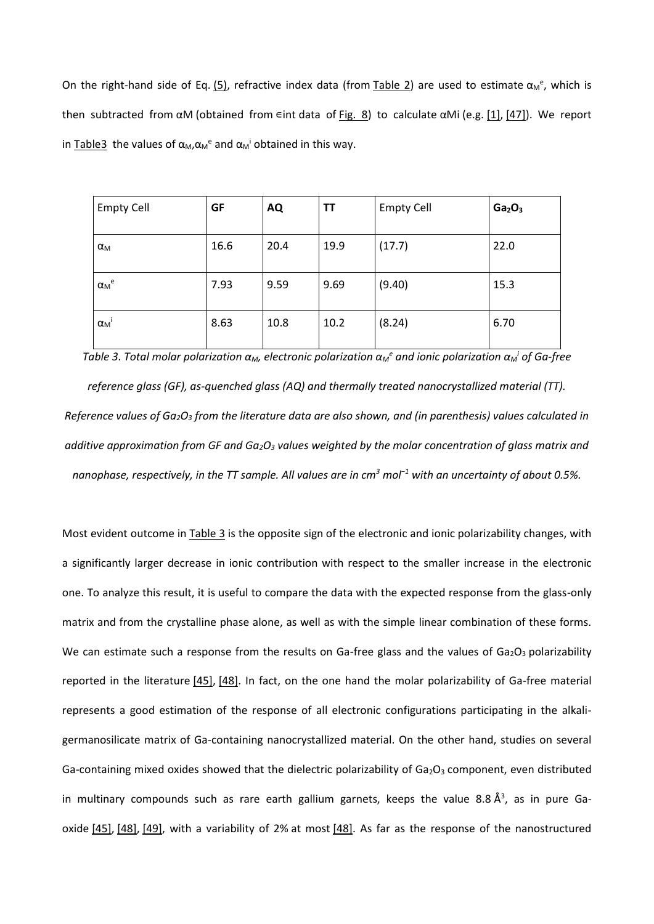On the right-hand side of Eq.  $(5)$ , refractive index data (from Table 2) are used to estimate  $\alpha_M^e$ , which is then subtracted from  $\alpha$ M (obtained from  $\epsilon$ int data of Fig. 8) to calculate  $\alpha$ Mi (e.g. [1], [47]). We report in Table3 the values of  $\alpha_{\text{M}}$ ,  $\alpha_{\text{M}}$ <sup>e</sup> and  $\alpha_{\text{M}}$ <sup>i</sup> obtained in this way.

| <b>Empty Cell</b>                  | <b>GF</b> | <b>AQ</b> | <b>TT</b> | <b>Empty Cell</b> | Ga <sub>2</sub> O <sub>3</sub> |
|------------------------------------|-----------|-----------|-----------|-------------------|--------------------------------|
| $\alpha_{\mathsf{M}}$              | 16.6      | 20.4      | 19.9      | (17.7)            | 22.0                           |
| $\alpha_{\mathsf{M}}{}^{\text{e}}$ | 7.93      | 9.59      | 9.69      | (9.40)            | 15.3                           |
| $\alpha_{\mathsf{M}}$              | 8.63      | 10.8      | 10.2      | (8.24)            | 6.70                           |

*Table 3. Total molar polarization αM, electronic polarization α<sup>M</sup> <sup>e</sup> and ionic polarization α<sup>M</sup> <sup>i</sup> of Ga-free* 

*reference glass (GF), as-quenched glass (AQ) and thermally treated nanocrystallized material (TT). Reference values of Ga2O<sup>3</sup> from the literature data are also shown, and (in parenthesis) values calculated in additive approximation from GF and Ga2O<sup>3</sup> values weighted by the molar concentration of glass matrix and nanophase, respectively, in the TT sample. All values are in cm<sup>3</sup> mol−1 with an uncertainty of about 0.5%.*

Most evident outcome in Table 3 is the opposite sign of the electronic and ionic polarizability changes, with a significantly larger decrease in ionic contribution with respect to the smaller increase in the electronic one. To analyze this result, it is useful to compare the data with the expected response from the glass-only matrix and from the crystalline phase alone, as well as with the simple linear combination of these forms. We can estimate such a response from the results on Ga-free glass and the values of Ga<sub>2</sub>O<sub>3</sub> polarizability reported in the literature [45], [48]. In fact, on the one hand the molar polarizability of Ga-free material represents a good estimation of the response of all electronic configurations participating in the alkaligermanosilicate matrix of Ga-containing nanocrystallized material. On the other hand, studies on several Ga-containing mixed oxides showed that the dielectric polarizability of  $Ga_2O_3$  component, even distributed in multinary compounds such as rare earth gallium garnets, keeps the value 8.8  $\AA^3$ , as in pure Gaoxide  $[45]$ ,  $[48]$ ,  $[49]$ , with a variability of 2% at most  $[48]$ . As far as the response of the nanostructured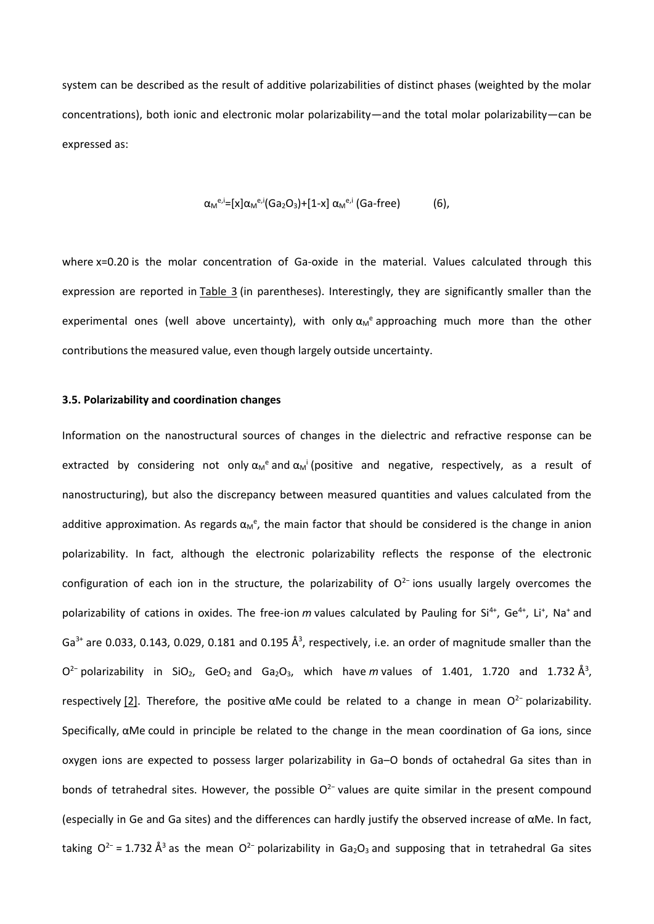system can be described as the result of additive polarizabilities of distinct phases (weighted by the molar concentrations), both ionic and electronic molar polarizability—and the total molar polarizability—can be expressed as:

$$
\alpha_{\mathsf{M}}^{\mathsf{e},i}=[x] \alpha_{\mathsf{M}}^{\mathsf{e},i}(\mathsf{Ga}_2\mathsf{O}_3) + [1-x] \alpha_{\mathsf{M}}^{\mathsf{e},i}(\mathsf{Ga}\text{-free}) \tag{6}
$$

where x=0.20 is the molar concentration of Ga-oxide in the material. Values calculated through this expression are reported in Table 3 (in parentheses). Interestingly, they are significantly smaller than the experimental ones (well above uncertainty), with only  $\alpha_M^e$  approaching much more than the other contributions the measured value, even though largely outside uncertainty.

#### **3.5. Polarizability and coordination changes**

Information on the nanostructural sources of changes in the dielectric and refractive response can be extracted by considering not only  $\alpha_M$ <sup>e</sup> and  $\alpha_M$ <sup>i</sup> (positive and negative, respectively, as a result of nanostructuring), but also the discrepancy between measured quantities and values calculated from the additive approximation. As regards  $\alpha_M$ <sup>e</sup>, the main factor that should be considered is the change in anion polarizability. In fact, although the electronic polarizability reflects the response of the electronic configuration of each ion in the structure, the polarizability of O<sup>2−</sup> ions usually largely overcomes the polarizability of cations in oxides. The free-ion m values calculated by Pauling for Si<sup>4+</sup>, Ge<sup>4+</sup>, Li<sup>+</sup>, Na<sup>+</sup> and Ga<sup>3+</sup> are 0.033, 0.143, 0.029, 0.181 and 0.195 Å<sup>3</sup>, respectively, i.e. an order of magnitude smaller than the  $O^{2}$ - polarizability in SiO<sub>2</sub>, GeO<sub>2</sub> and Ga<sub>2</sub>O<sub>3</sub>, which have *m* values of 1.401, 1.720 and 1.732 Å<sup>3</sup>, respectively [2]. Therefore, the positive  $\alpha$ Me could be related to a change in mean O<sup>2−</sup> polarizability. Specifically, αMe could in principle be related to the change in the mean coordination of Ga ions, since oxygen ions are expected to possess larger polarizability in Ga–O bonds of octahedral Ga sites than in bonds of tetrahedral sites. However, the possible  $O^{2-}$  values are quite similar in the present compound (especially in Ge and Ga sites) and the differences can hardly justify the observed increase of αMe. In fact, taking O<sup>2−</sup> = 1.732 Å<sup>3</sup> as the mean O<sup>2−</sup> polarizability in Ga<sub>2</sub>O<sub>3</sub> and supposing that in tetrahedral Ga sites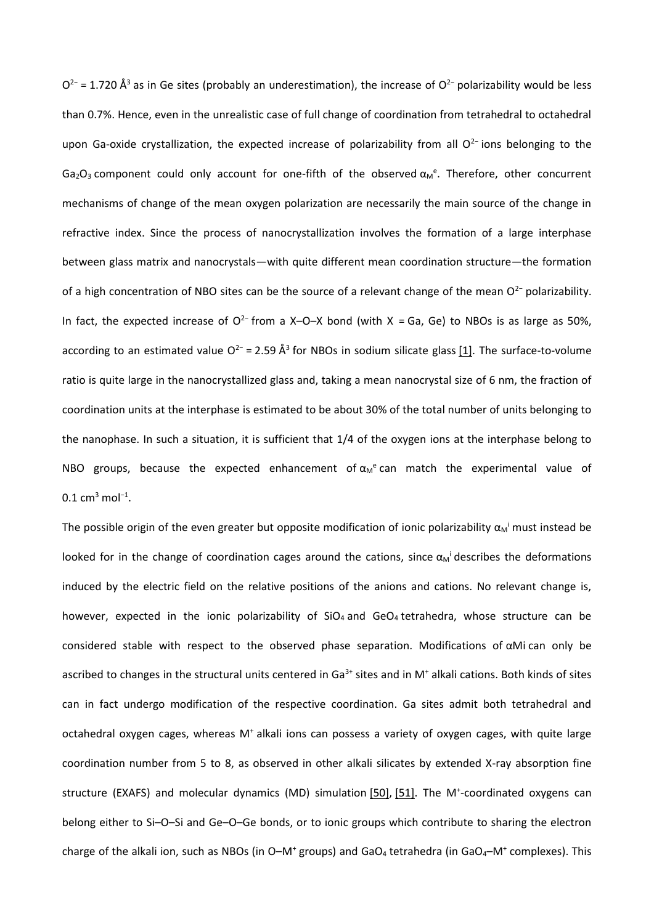$O^{2-}$  = 1.720 Å<sup>3</sup> as in Ge sites (probably an underestimation), the increase of  $O^{2-}$  polarizability would be less than 0.7%. Hence, even in the unrealistic case of full change of coordination from tetrahedral to octahedral upon Ga-oxide crystallization, the expected increase of polarizability from all O<sup>2–</sup> ions belonging to the Ga<sub>2</sub>O<sub>3</sub> component could only account for one-fifth of the observed  $\alpha_M$ <sup>e</sup>. Therefore, other concurrent mechanisms of change of the mean oxygen polarization are necessarily the main source of the change in refractive index. Since the process of nanocrystallization involves the formation of a large interphase between glass matrix and nanocrystals—with quite different mean coordination structure—the formation of a high concentration of NBO sites can be the source of a relevant change of the mean O<sup>2−</sup> polarizability. In fact, the expected increase of O<sup>2−</sup> from a X–O–X bond (with X = Ga, Ge) to NBOs is as large as 50%, according to an estimated value O<sup>2−</sup> = 2.59 Å<sup>3</sup> for NBOs in sodium silicate glass [1]. The surface-to-volume ratio is quite large in the nanocrystallized glass and, taking a mean nanocrystal size of 6 nm, the fraction of coordination units at the interphase is estimated to be about 30% of the total number of units belonging to the nanophase. In such a situation, it is sufficient that 1/4 of the oxygen ions at the interphase belong to NBO groups, because the expected enhancement of  $\alpha_M^e$  can match the experimental value of  $0.1 \text{ cm}^3 \text{ mol}^{-1}.$ 

The possible origin of the even greater but opposite modification of ionic polarizability  $\alpha_M$ <sup>i</sup> must instead be looked for in the change of coordination cages around the cations, since  $\alpha_M$ <sup>i</sup> describes the deformations induced by the electric field on the relative positions of the anions and cations. No relevant change is, however, expected in the ionic polarizability of  $SiO<sub>4</sub>$  and GeO<sub>4</sub> tetrahedra, whose structure can be considered stable with respect to the observed phase separation. Modifications of αMi can only be ascribed to changes in the structural units centered in Ga $3+$  sites and in M<sup>+</sup> alkali cations. Both kinds of sites can in fact undergo modification of the respective coordination. Ga sites admit both tetrahedral and octahedral oxygen cages, whereas M<sup>+</sup> alkali ions can possess a variety of oxygen cages, with quite large coordination number from 5 to 8, as observed in other alkali silicates by extended X-ray absorption fine structure (EXAFS) and molecular dynamics (MD) simulation [50], [51]. The M<sup>+</sup>-coordinated oxygens can belong either to Si–O–Si and Ge–O–Ge bonds, or to ionic groups which contribute to sharing the electron charge of the alkali ion, such as NBOs (in O-M<sup>+</sup> groups) and GaO<sub>4</sub> tetrahedra (in GaO<sub>4</sub>-M<sup>+</sup> complexes). This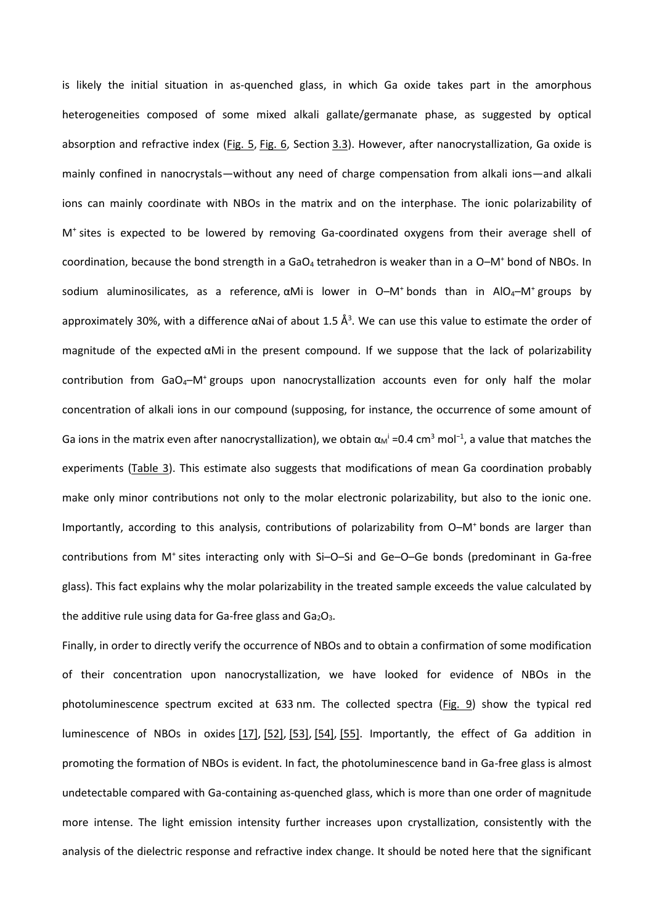is likely the initial situation in as-quenched glass, in which Ga oxide takes part in the amorphous heterogeneities composed of some mixed alkali gallate/germanate phase, as suggested by optical absorption and refractive index (Fig. 5, Fig. 6, Section 3.3). However, after nanocrystallization, Ga oxide is mainly confined in nanocrystals—without any need of charge compensation from alkali ions—and alkali ions can mainly coordinate with NBOs in the matrix and on the interphase. The ionic polarizability of M<sup>+</sup> sites is expected to be lowered by removing Ga-coordinated oxygens from their average shell of coordination, because the bond strength in a GaO<sub>4</sub> tetrahedron is weaker than in a O–M<sup>+</sup> bond of NBOs. In sodium aluminosilicates, as a reference,  $\alpha$ Mi is lower in O-M<sup>+</sup> bonds than in AlO<sub>4</sub>-M<sup>+</sup> groups by approximately 30%, with a difference  $\alpha$ Nai of about 1.5 Å<sup>3</sup>. We can use this value to estimate the order of magnitude of the expected αMi in the present compound. If we suppose that the lack of polarizability contribution from GaO<sub>4</sub>-M<sup>+</sup> groups upon nanocrystallization accounts even for only half the molar concentration of alkali ions in our compound (supposing, for instance, the occurrence of some amount of Ga ions in the matrix even after nanocrystallization), we obtain  $\alpha_M$ <sup>i</sup> =0.4 cm<sup>3</sup> mol<sup>-1</sup>, a value that matches the experiments (Table 3). This estimate also suggests that modifications of mean Ga coordination probably make only minor contributions not only to the molar electronic polarizability, but also to the ionic one. Importantly, according to this analysis, contributions of polarizability from O–M<sup>+</sup> bonds are larger than contributions from M<sup>+</sup> sites interacting only with Si-O-Si and Ge-O-Ge bonds (predominant in Ga-free glass). This fact explains why the molar polarizability in the treated sample exceeds the value calculated by the additive rule using data for Ga-free glass and  $Ga<sub>2</sub>O<sub>3</sub>$ .

Finally, in order to directly verify the occurrence of NBOs and to obtain a confirmation of some modification of their concentration upon nanocrystallization, we have looked for evidence of NBOs in the photoluminescence spectrum excited at 633 nm. The collected spectra (Fig. 9) show the typical red luminescence of NBOs in oxides [17], [52], [53], [54], [55]. Importantly, the effect of Ga addition in promoting the formation of NBOs is evident. In fact, the photoluminescence band in Ga-free glass is almost undetectable compared with Ga-containing as-quenched glass, which is more than one order of magnitude more intense. The light emission intensity further increases upon crystallization, consistently with the analysis of the dielectric response and refractive index change. It should be noted here that the significant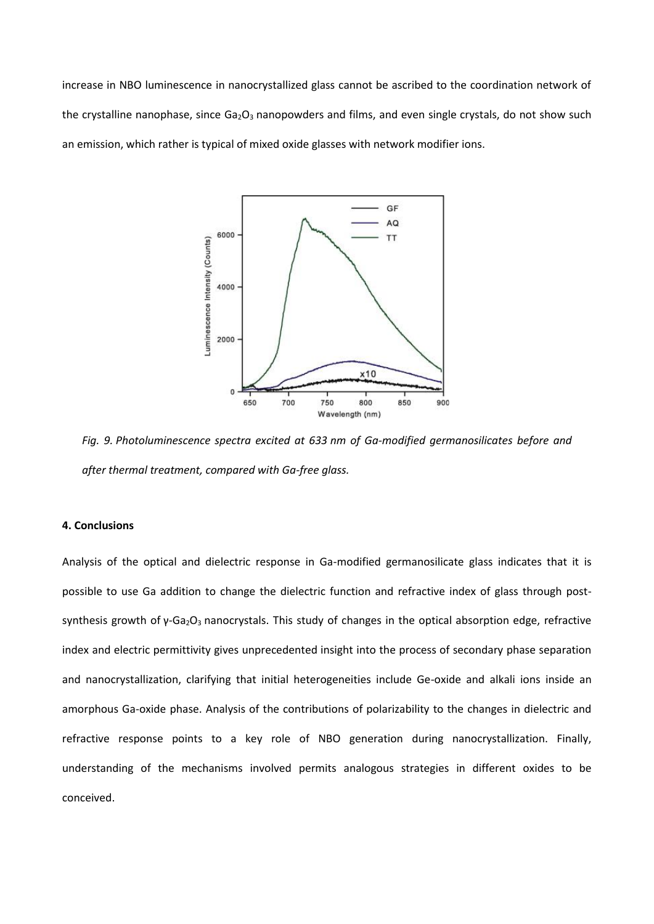increase in NBO luminescence in nanocrystallized glass cannot be ascribed to the coordination network of the crystalline nanophase, since  $Ga_2O_3$  nanopowders and films, and even single crystals, do not show such an emission, which rather is typical of mixed oxide glasses with network modifier ions.



*Fig. 9. Photoluminescence spectra excited at 633 nm of Ga-modified germanosilicates before and after thermal treatment, compared with Ga-free glass.*

## **4. Conclusions**

Analysis of the optical and dielectric response in Ga-modified germanosilicate glass indicates that it is possible to use Ga addition to change the dielectric function and refractive index of glass through postsynthesis growth of  $γ$ -Ga<sub>2</sub>O<sub>3</sub> nanocrystals. This study of changes in the optical absorption edge, refractive index and electric permittivity gives unprecedented insight into the process of secondary phase separation and nanocrystallization, clarifying that initial heterogeneities include Ge-oxide and alkali ions inside an amorphous Ga-oxide phase. Analysis of the contributions of polarizability to the changes in dielectric and refractive response points to a key role of NBO generation during nanocrystallization. Finally, understanding of the mechanisms involved permits analogous strategies in different oxides to be conceived.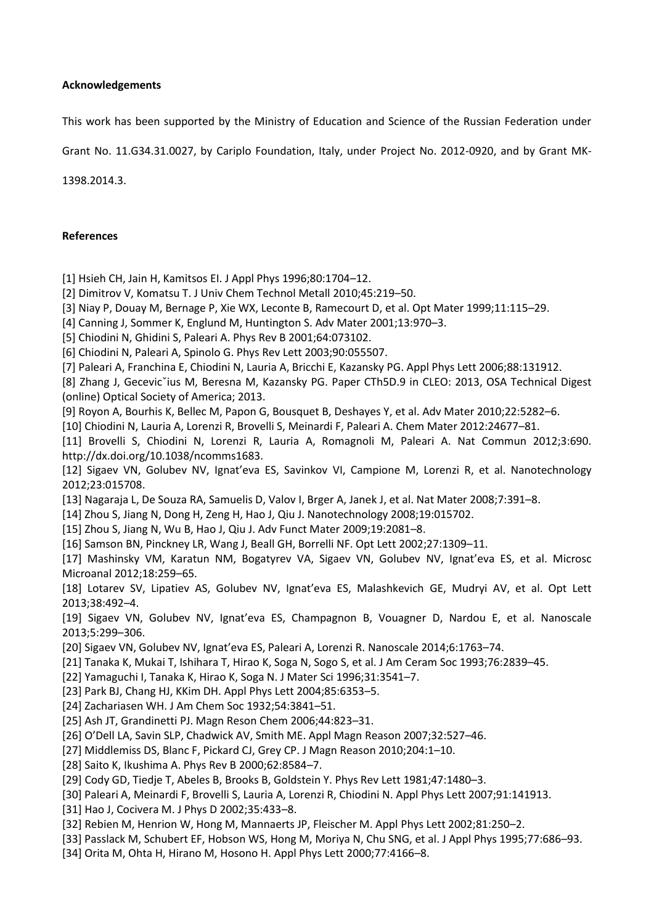## **Acknowledgements**

This work has been supported by the Ministry of Education and Science of the Russian Federation under

Grant No. 11.G34.31.0027, by Cariplo Foundation, Italy, under Project No. 2012-0920, and by Grant MK-

1398.2014.3.

## **References**

- [1] Hsieh CH, Jain H, Kamitsos EI. J Appl Phys 1996;80:1704–12.
- [2] Dimitrov V, Komatsu T. J Univ Chem Technol Metall 2010;45:219–50.
- [3] Niay P, Douay M, Bernage P, Xie WX, Leconte B, Ramecourt D, et al. Opt Mater 1999;11:115–29.
- [4] Canning J, Sommer K, Englund M, Huntington S. Adv Mater 2001;13:970–3.
- [5] Chiodini N, Ghidini S, Paleari A. Phys Rev B 2001;64:073102.
- [6] Chiodini N, Paleari A, Spinolo G. Phys Rev Lett 2003;90:055507.
- [7] Paleari A, Franchina E, Chiodini N, Lauria A, Bricchi E, Kazansky PG. Appl Phys Lett 2006;88:131912.
- [8] Zhang J, Gecevic<sup>x</sup>ius M, Beresna M, Kazansky PG. Paper CTh5D.9 in CLEO: 2013, OSA Technical Digest (online) Optical Society of America; 2013.
- [9] Royon A, Bourhis K, Bellec M, Papon G, Bousquet B, Deshayes Y, et al. Adv Mater 2010;22:5282–6.
- [10] Chiodini N, Lauria A, Lorenzi R, Brovelli S, Meinardi F, Paleari A. Chem Mater 2012:24677–81.
- [11] Brovelli S, Chiodini N, Lorenzi R, Lauria A, Romagnoli M, Paleari A. Nat Commun 2012;3:690. http://dx.doi.org/10.1038/ncomms1683.
- [12] Sigaev VN, Golubev NV, Ignat'eva ES, Savinkov VI, Campione M, Lorenzi R, et al. Nanotechnology 2012;23:015708.
- [13] Nagaraja L, De Souza RA, Samuelis D, Valov I, Brger A, Janek J, et al. Nat Mater 2008;7:391–8.
- [14] Zhou S, Jiang N, Dong H, Zeng H, Hao J, Qiu J. Nanotechnology 2008;19:015702.
- [15] Zhou S, Jiang N, Wu B, Hao J, Qiu J. Adv Funct Mater 2009;19:2081–8.
- [16] Samson BN, Pinckney LR, Wang J, Beall GH, Borrelli NF. Opt Lett 2002;27:1309–11.
- [17] Mashinsky VM, Karatun NM, Bogatyrev VA, Sigaev VN, Golubev NV, Ignat'eva ES, et al. Microsc Microanal 2012;18:259–65.
- [18] Lotarev SV, Lipatiev AS, Golubev NV, Ignat'eva ES, Malashkevich GE, Mudryi AV, et al. Opt Lett 2013;38:492–4.
- [19] Sigaev VN, Golubev NV, Ignat'eva ES, Champagnon B, Vouagner D, Nardou E, et al. Nanoscale 2013;5:299–306.
- [20] Sigaev VN, Golubev NV, Ignat'eva ES, Paleari A, Lorenzi R. Nanoscale 2014;6:1763–74.
- [21] Tanaka K, Mukai T, Ishihara T, Hirao K, Soga N, Sogo S, et al. J Am Ceram Soc 1993;76:2839–45.
- [22] Yamaguchi I, Tanaka K, Hirao K, Soga N. J Mater Sci 1996;31:3541–7.
- [23] Park BJ, Chang HJ, KKim DH. Appl Phys Lett 2004;85:6353–5.
- [24] Zachariasen WH. J Am Chem Soc 1932;54:3841–51.
- [25] Ash JT, Grandinetti PJ. Magn Reson Chem 2006;44:823–31.
- [26] O'Dell LA, Savin SLP, Chadwick AV, Smith ME. Appl Magn Reason 2007;32:527–46.
- [27] Middlemiss DS, Blanc F, Pickard CJ, Grey CP. J Magn Reason 2010;204:1–10.
- [28] Saito K, Ikushima A. Phys Rev B 2000;62:8584–7.
- [29] Cody GD, Tiedje T, Abeles B, Brooks B, Goldstein Y. Phys Rev Lett 1981;47:1480–3.
- [30] Paleari A, Meinardi F, Brovelli S, Lauria A, Lorenzi R, Chiodini N. Appl Phys Lett 2007;91:141913.
- [31] Hao J, Cocivera M. J Phys D 2002;35:433–8.
- [32] Rebien M, Henrion W, Hong M, Mannaerts JP, Fleischer M. Appl Phys Lett 2002;81:250–2.
- [33] Passlack M, Schubert EF, Hobson WS, Hong M, Moriya N, Chu SNG, et al. J Appl Phys 1995;77:686–93.
- [34] Orita M, Ohta H, Hirano M, Hosono H. Appl Phys Lett 2000;77:4166–8.